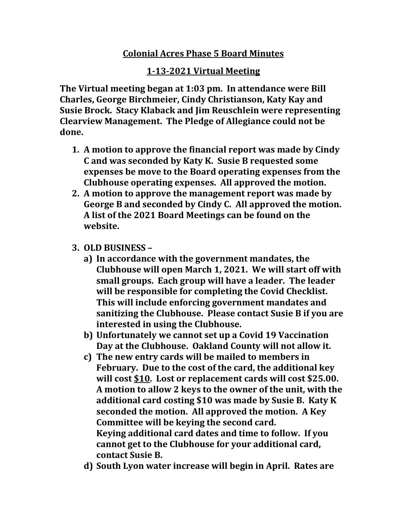## **Colonial Acres Phase 5 Board Minutes**

## **1-13-2021 Virtual Meeting**

**The Virtual meeting began at 1:03 pm. In attendance were Bill Charles, George Birchmeier, Cindy Christianson, Katy Kay and Susie Brock. Stacy Klaback and Jim Reuschlein were representing Clearview Management. The Pledge of Allegiance could not be done.**

- **1. A motion to approve the financial report was made by Cindy C and was seconded by Katy K. Susie B requested some expenses be move to the Board operating expenses from the Clubhouse operating expenses. All approved the motion.**
- **2. A motion to approve the management report was made by George B and seconded by Cindy C. All approved the motion. A list of the 2021 Board Meetings can be found on the website.**
- **3. OLD BUSINESS –**
	- **a) In accordance with the government mandates, the Clubhouse will open March 1, 2021. We will start off with small groups. Each group will have a leader. The leader will be responsible for completing the Covid Checklist. This will include enforcing government mandates and sanitizing the Clubhouse. Please contact Susie B if you are interested in using the Clubhouse.**
	- **b) Unfortunately we cannot set up a Covid 19 Vaccination Day at the Clubhouse. Oakland County will not allow it.**
	- **c) The new entry cards will be mailed to members in February. Due to the cost of the card, the additional key will cost \$10. Lost or replacement cards will cost \$25.00. A motion to allow 2 keys to the owner of the unit, with the additional card costing \$10 was made by Susie B. Katy K seconded the motion. All approved the motion. A Key Committee will be keying the second card. Keying additional card dates and time to follow. If you cannot get to the Clubhouse for your additional card, contact Susie B.**
	- **d) South Lyon water increase will begin in April. Rates are**